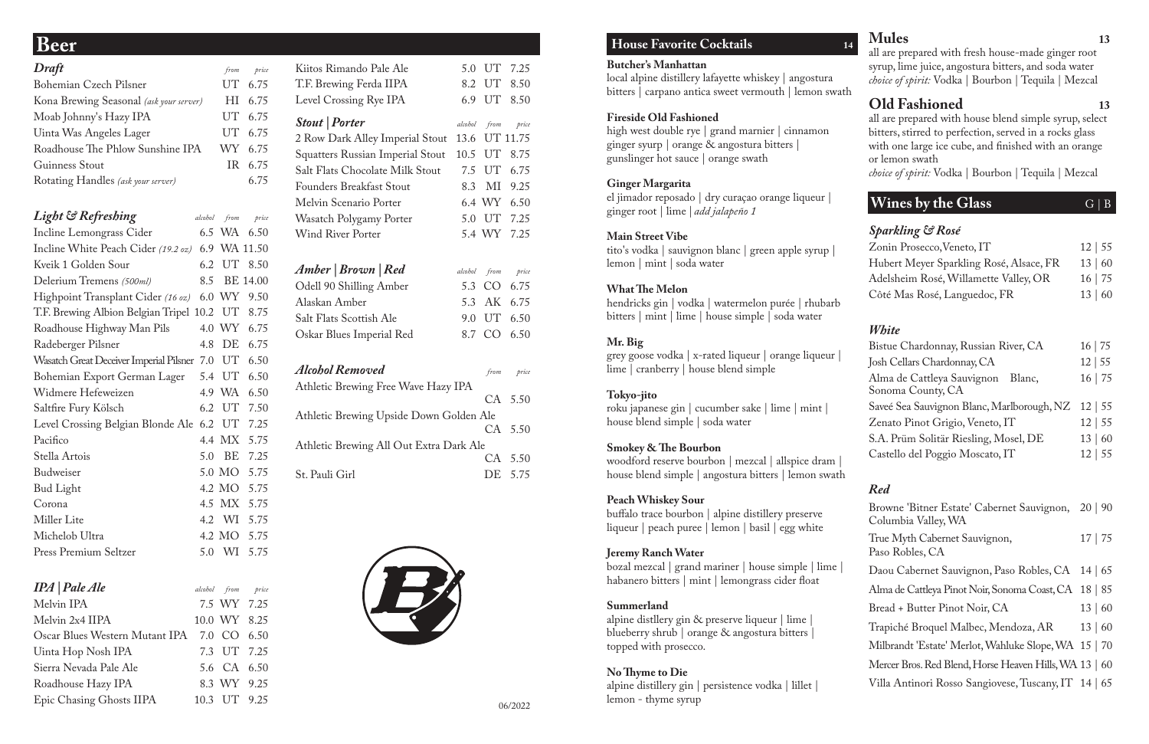### **Butcher's Manhattan**

local alpine distillery lafayette whiskey | angostura bitters | carpano antica sweet vermouth | lemon swath

### **Fireside Old Fashioned**

high west double rye | grand marnier | cinnamon ginger syurp | orange & angostura bitters | gunslinger hot sauce | orange swath

### **Ginger Margarita**

el jimador reposado | dry curaçao orange liqueur | ginger root | lime *| add jalapeño 1*

#### **Main Street Vibe**

tito's vodka | sauvignon blanc | green apple syrup | lemon | mint | soda water

### **What The Melon**

buffalo trace bourbon | alpine distillery preserve liqueur | peach puree | lemon | basil | egg white

bozal mezcal | grand mariner | house simple | lime | habanero bitters | mint | lemongrass cider float

hendricks gin | vodka | watermelon purée | rhubarb bitters | mint | lime | house simple | soda water

### **Mr. Big**

grey goose vodka | x-rated liqueur | orange liqueur | lime | cranberry | house blend simple

### **Tokyo-jito**

roku japanese gin | cucumber sake | lime | mint | house blend simple | soda water

### **Smokey & The Bourbon**

woodford reserve bourbon | mezcal | allspice dram | house blend simple | angostura bitters | lemon swath

### **Peach Whiskey Sour**

### **Jeremy Ranch Water**

### **Summerland**

alpine distllery gin & preserve liqueur | lime | blueberry shrub | orange & angostura bitters | topped with prosecco.

### No Thyme to Die

alpine distillery gin | persistence vodka | lillet | lemon - thyme syrup

## **Mules 13**

all are prepared with fresh house-made ginger root syrup, lime juice, angostura bitters, and soda water *choice of spirit:* Vodka | Bourbon | Tequila | Mezcal

## **Old Fashioned 13**

all are prepared with house blend simple syrup, select bitters, stirred to perfection, served in a rocks glass with one large ice cube, and finished with an orange or lemon swath

*choice of spirit:* Vodka | Bourbon | Tequila | Mezcal

| Draft                                   | from    | price   |
|-----------------------------------------|---------|---------|
| Bohemian Czech Pilsner                  |         | UT 6.75 |
| Kona Brewing Seasonal (ask your server) |         | HI 6.75 |
| Moab Johnny's Hazy IPA                  |         | UT 6.75 |
| Uinta Was Angeles Lager                 |         | UT 6.75 |
| Roadhouse The Phlow Sunshine IPA        | WY 6.75 |         |
| Guinness Stout                          |         | IR 6.75 |
| Rotating Handles (ask your server)      |         | 6.75    |

| <b>Wines by the Glass</b>                                         | G <br>B      |
|-------------------------------------------------------------------|--------------|
| <b>Sparkling &amp; Rosé</b>                                       |              |
| Zonin Prosecco, Veneto, IT                                        | 12 55        |
| Hubert Meyer Sparkling Rosé, Alsace, FR                           | 13   60      |
| Adelsheim Rosé, Willamette Valley, OR                             | 16 75        |
| Côté Mas Rosé, Languedoc, FR                                      | 13   60      |
| <i>White</i>                                                      |              |
| Bistue Chardonnay, Russian River, CA                              | $16 \mid 75$ |
| Josh Cellars Chardonnay, CA                                       | 12 55        |
| Alma de Cattleya Sauvignon<br>Blanc,<br>Sonoma County, CA         | 16 75        |
| Saveé Sea Sauvignon Blanc, Marlborough, NZ                        | $12 \mid 55$ |
| Zenato Pinot Grigio, Veneto, IT                                   | $12 \mid 55$ |
| S.A. Prüm Solitär Riesling, Mosel, DE                             | 13   60      |
| Castello del Poggio Moscato, IT                                   | 12   55      |
| Red                                                               |              |
| Browne 'Bitner Estate' Cabernet Sauvignon,<br>Columbia Valley, WA | 20 90        |
| True Myth Cabernet Sauvignon,<br>Paso Robles, CA                  | 17 75        |
| Daou Cabernet Sauvignon, Paso Robles, CA                          | 14   65      |
| Alma de Cattleya Pinot Noir, Sonoma Coast, CA                     | 18   85      |
| Bread + Butter Pinot Noir, CA                                     | 13   60      |
| Trapiché Broquel Malbec, Mendoza, AR                              | 13   60      |
| Milbrandt 'Estate' Merlot, Wahluke Slope, WA 15   70              |              |
| Mercer Bros. Red Blend, Horse Heaven Hills, WA 13   60            |              |
| Villa Antinori Rosso Sangiovese, Tuscany, IT 14   65              |              |

| <b>Light &amp; Refreshing</b>               | alcohol | from      | price       |
|---------------------------------------------|---------|-----------|-------------|
| Incline Lemongrass Cider                    |         |           | 6.5 WA 6.50 |
| Incline White Peach Cider (19.2 oz)         | 6.9     |           | WA 11.50    |
| Kveik 1 Golden Sour                         | 6.2     | UT        | 8.50        |
| Delerium Tremens (500ml)                    | 8.5     |           | BE 14.00    |
| Highpoint Transplant Cider (16 oz)          | 6.0     | <b>WY</b> | 9.50        |
| T.F. Brewing Albion Belgian Tripel 10.2     |         | UT        | 8.75        |
| Roadhouse Highway Man Pils                  |         | 4.0 WY    | 6.75        |
| Radeberger Pilsner                          | 4.8     | DE        | 6.75        |
| Wasatch Great Deceiver Imperial Pilsner 7.0 |         | UT        | 6.50        |
| Bohemian Export German Lager                |         | 5.4 UT    | 6.50        |
| Widmere Hefeweizen                          |         | 4.9 WA    | 6.50        |
| Saltfire Fury Kölsch                        | 6.2     | UT        | 7.50        |
| Level Crossing Belgian Blonde Ale 6.2       |         | <b>UT</b> | 7.25        |
| Pacifico                                    | 4.4     | MX        | 5.75        |
| Stella Artois                               | 5.0     | BE        | 7.25        |
| Budweiser                                   |         | 5.0 MO    | 5.75        |
| <b>Bud Light</b>                            |         | 4.2 MO    | 5.75        |
| Corona                                      |         | 4.5 MX    | 5.75        |
| Miller Lite                                 |         | 4.2 WI    | 5.75        |
| Michelob Ultra                              |         | 4.2 MO    | 5.75        |
| Press Premium Seltzer                       | 5.0     | WI        | 5.75        |
|                                             |         |           |             |

### *IPA | Pale Ale alcohol from price*

| Melvin IPA                                 | 7.5 WY 7.25  |  |
|--------------------------------------------|--------------|--|
| Melvin 2x4 IIPA                            | 10.0 WY 8.25 |  |
| Oscar Blues Western Mutant IPA 7.0 CO 6.50 |              |  |
| Uinta Hop Nosh IPA                         | 7.3 UT 7.25  |  |
| Sierra Nevada Pale Ale                     | 5.6 CA 6.50  |  |
| Roadhouse Hazy IPA                         | 8.3 WY 9.25  |  |
| Epic Chasing Ghosts IIPA                   | 10.3 UT 9.25 |  |
|                                            |              |  |

| Kiitos Rimando Pale Ale                 | 5.0     | <b>UT</b>      | 7.25            |
|-----------------------------------------|---------|----------------|-----------------|
| T.F. Brewing Ferda IIPA                 | 8.2     | UT             | 8.50            |
| Level Crossing Rye IPA                  | 6.9     | UT             | 8.50            |
| <b>Stout   Porter</b>                   | alcohol | from           | price           |
| 2 Row Dark Alley Imperial Stout         | 13.6    |                | <b>UT 11.75</b> |
| <b>Squatters Russian Imperial Stout</b> | 10.5    | <b>UT</b>      | 8.75            |
| <b>Salt Flats Chocolate Milk Stout</b>  | 7.5     | UT             | 6.75            |
| <b>Founders Breakfast Stout</b>         | 8.3     | MI             | 9.25            |
| Melvin Scenario Porter                  |         | 6.4 WY         | 6.50            |
| Wasatch Polygamy Porter                 | 5.0     | UT             | 7.25            |
| <b>Wind River Porter</b>                |         | 5.4 WY         | 7.25            |
|                                         |         |                |                 |
| Amber   Brown   Red                     | alcohol | from           | price           |
| Odell 90 Shilling Amber                 | 5.3     | CO             | 6.75            |
| Alaskan Amber                           | 5.3     | AK             | 6.75            |
| Salt Flats Scottish Ale                 | 9.0     | UT <sup></sup> | 6.50            |
| Oskar Blues Imperial Red                | 8.7     | CO             | 6.50            |
|                                         |         |                |                 |
| <b>Alcohol Removed</b>                  |         | from           | price           |
| Athletic Brewing Free Wave Hazy IPA     |         |                |                 |
|                                         |         | CA             | 5.50            |
| Athletic Brewing Upside Down Golden Ale |         |                |                 |
|                                         |         |                | CA 5.50         |
| Athletic Brewing All Out Extra Dark Ale |         |                |                 |
|                                         |         |                | CA 5.50         |



St. Pauli Girl DE 5.75

# **Beer**

### **House Favorite Cocktails 14**